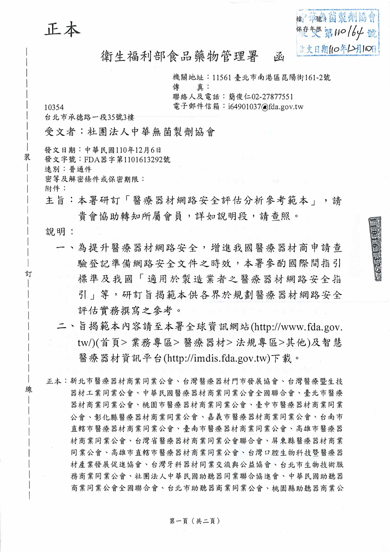正本



**SOLECED** 

衛生福利部食品藥物管理署 函

機關地址:11561 臺北市南港區昆陽街161-2號

直: 傳 聯絡人及電話:簡俊仁02-27877551

電子郵件信箱: i64901037@fda.gov.tw

10354

装

訂

線

台北市承德路一段35號3樓

受文者:社團法人中華無菌製劑協會

發文日期:中華民國110年12月6日

發文字號:FDA器字第1101613292號

速別:普通件

密等及解密條件或保密期限: 附件:

主旨:本署研訂「醫療器材網路安全評估分析參考範本」,請 貴會協助轉知所屬會員,詳如說明段,請查照。

說明:

- 一、為提升醫療器材網路安全,增進我國醫療器材商申請查 驗登記準備網路安全文件之時效,本署參酌國際間指引 標準及我國「適用於製造業者之醫療器材網路安全指 引 | 等,研訂旨揭範本供各界於規劃醫療器材網路安全 評估實務撰寫之參考。
- 二、旨揭範本內容請至本署全球資訊網站(http://www.fda.gov. tw/)(首頁>業務專區>醫療器材>法規專區>其他)及智慧 醫療器材資訊平台(http://imdis.fda.gov.tw)下載。
- 正本:新北市醫療器材商業同業公會、台灣醫療器材門市發展協會、台灣醫療暨生技 器材工業同業公會、中華民國醫療器材商業同業公會全國聯合會、臺北市醫療 器材商業同業公會、桃園市醫療器材商業同業公會、臺中市醫療器材商業同業 公會、彰化縣醫療器材商業同業公會、嘉義市醫療器材商業同業公會、台南市 直轄市醫療器材商業同業公會、臺南市醫療器材商業同業公會、高雄市醫療器 材商業同業公會、台灣省醫療器材商業同業公會聯合會、屏東縣醫療器材商業 同業公會、高雄市直轄市醫療器材商業同業公會、台灣口腔生物科技暨醫療器 材產業發展促進協會、台灣牙科器材同業交流與公益協會、台北市生物技術服 務商業同業公會、社團法人中華民國助聽器同業聯合協進會、中華民國助聽器 商業同業公會全國聯合會、台北市助聽器商業同業公會、桃園縣助聽器商業公

第一頁 (共二頁)